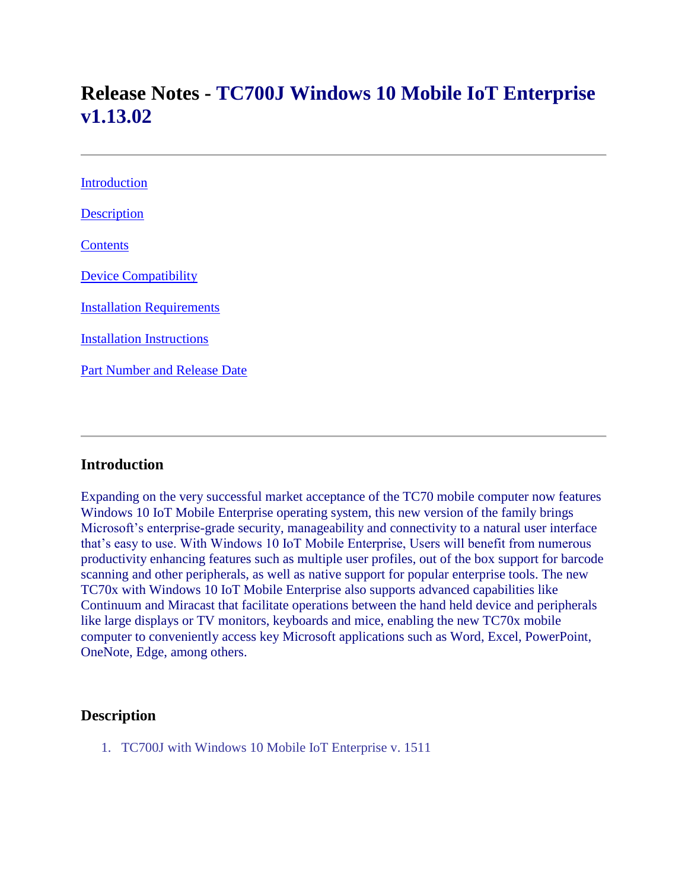# **Release Notes - TC700J Windows 10 Mobile IoT Enterprise v1.13.02**

| <b>Introduction</b>                 |
|-------------------------------------|
| <b>Description</b>                  |
| Contents                            |
| <b>Device Compatibility</b>         |
| <b>Installation Requirements</b>    |
| <b>Installation Instructions</b>    |
| <b>Part Number and Release Date</b> |
|                                     |

#### <span id="page-0-0"></span>**Introduction**

Expanding on the very successful market acceptance of the TC70 mobile computer now features Windows 10 IoT Mobile Enterprise operating system, this new version of the family brings Microsoft's enterprise-grade security, manageability and connectivity to a natural user interface that's easy to use. With Windows 10 IoT Mobile Enterprise, Users will benefit from numerous productivity enhancing features such as multiple user profiles, out of the box support for barcode scanning and other peripherals, as well as native support for popular enterprise tools. The new TC70x with Windows 10 IoT Mobile Enterprise also supports advanced capabilities like Continuum and Miracast that facilitate operations between the hand held device and peripherals like large displays or TV monitors, keyboards and mice, enabling the new TC70x mobile computer to conveniently access key Microsoft applications such as Word, Excel, PowerPoint, OneNote, Edge, among others.

## <span id="page-0-1"></span>**Description**

<span id="page-0-2"></span>1. TC700J with Windows 10 Mobile IoT Enterprise v. 1511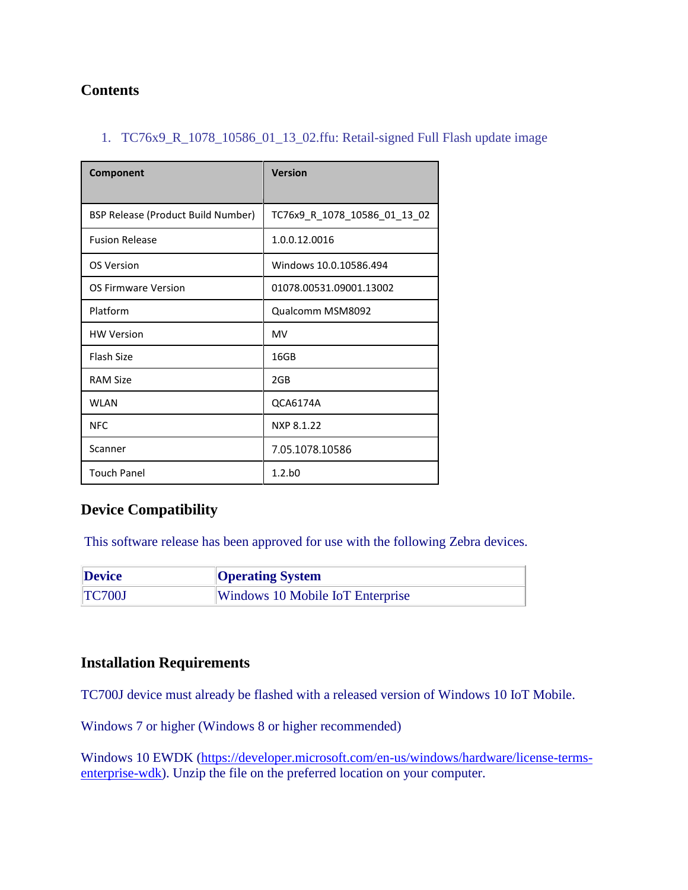# **Contents**

#### 1. TC76x9\_R\_1078\_10586\_01\_13\_02.ffu: Retail-signed Full Flash update image

| Component                          | <b>Version</b>               |
|------------------------------------|------------------------------|
| BSP Release (Product Build Number) | TC76x9_R_1078_10586_01_13_02 |
| <b>Fusion Release</b>              | 1.0.0.12.0016                |
| OS Version                         | Windows 10.0.10586.494       |
| OS Firmware Version                | 01078.00531.09001.13002      |
| Platform                           | Qualcomm MSM8092             |
| <b>HW Version</b>                  | <b>MV</b>                    |
| Flash Size                         | 16GB                         |
| <b>RAM Size</b>                    | 2GB                          |
| <b>WLAN</b>                        | QCA6174A                     |
| <b>NFC</b>                         | NXP 8.1.22                   |
| Scanner                            | 7.05.1078.10586              |
| <b>Touch Panel</b>                 | 1.2.b0                       |

## <span id="page-1-0"></span>**Device Compatibility**

This software release has been approved for use with the following Zebra devices.

| <b>Device</b> | <b>Operating System</b>          |
|---------------|----------------------------------|
| <b>TC700J</b> | Windows 10 Mobile IoT Enterprise |

## <span id="page-1-1"></span>**Installation Requirements**

TC700J device must already be flashed with a released version of Windows 10 IoT Mobile.

Windows 7 or higher (Windows 8 or higher recommended)

Windows 10 EWDK [\(https://developer.microsoft.com/en-us/windows/hardware/license-terms](https://developer.microsoft.com/en-us/windows/hardware/license-terms-enterprise-wdk)[enterprise-wdk\)](https://developer.microsoft.com/en-us/windows/hardware/license-terms-enterprise-wdk). Unzip the file on the preferred location on your computer.